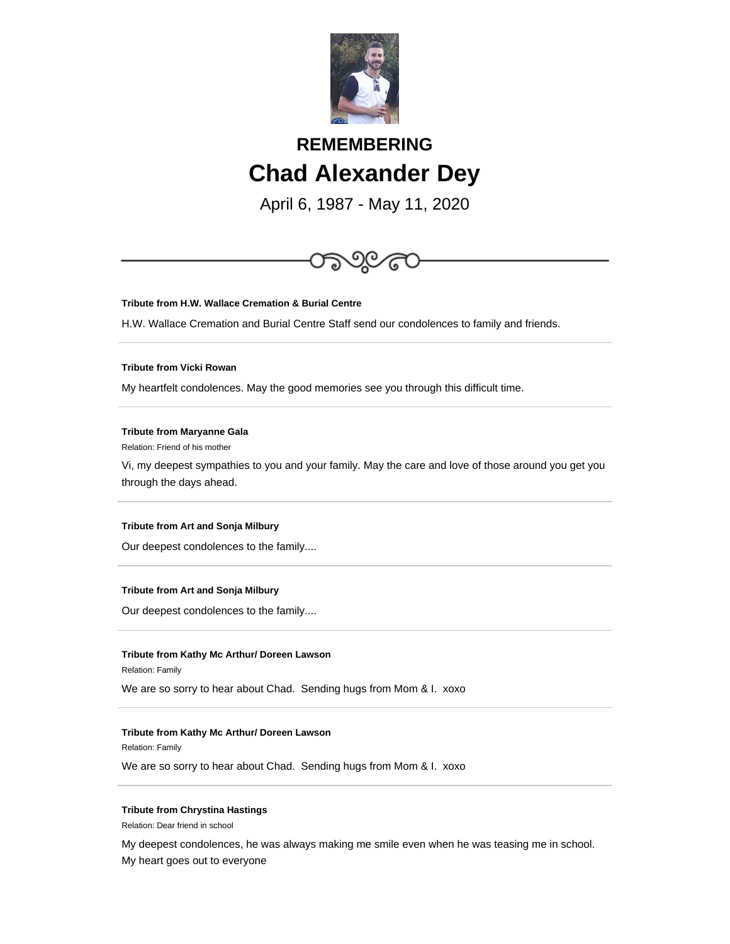

# **REMEMBERING Chad Alexander Dey**

April 6, 1987 - May 11, 2020



# **Tribute from Art and Sonja Milbury**

Our deepest condolences to the family....

## **Tribute from Kathy Mc Arthur/ Doreen Lawson**

Relation: Family

We are so sorry to hear about Chad. Sending hugs from Mom & I. xoxo

### **Tribute from Kathy Mc Arthur/ Doreen Lawson**

Relation: Family

We are so sorry to hear about Chad. Sending hugs from Mom & I. xoxo

# **Tribute from Chrystina Hastings**

Relation: Dear friend in school

My deepest condolences, he was always making me smile even when he was teasing me in school.

My heart goes out to everyone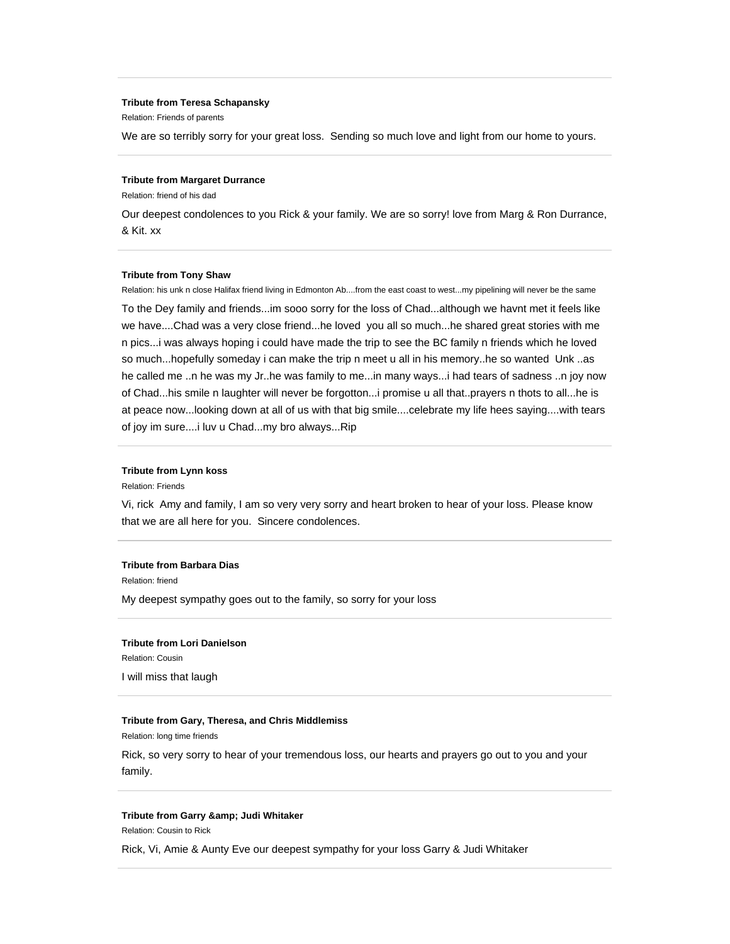#### **Tribute from Teresa Schapansky**

Relation: Friends of parents

We are so terribly sorry for your great loss. Sending so much love and light from our home to yours.

#### **Tribute from Margaret Durrance**

Relation: friend of his dad

Our deepest condolences to you Rick & your family. We are so sorry! love from Marg & Ron Durrance, & Kit. xx

## **Tribute from Tony Shaw**

Relation: his unk n close Halifax friend living in Edmonton Ab....from the east coast to west...my pipelining will never be the same To the Dey family and friends...im sooo sorry for the loss of Chad...although we havnt met it feels like we have....Chad was a very close friend...he loved you all so much...he shared great stories with me n pics...i was always hoping i could have made the trip to see the BC family n friends which he loved so much...hopefully someday i can make the trip n meet u all in his memory..he so wanted Unk ..as he called me ..n he was my Jr..he was family to me...in many ways...i had tears of sadness ..n joy now of Chad...his smile n laughter will never be forgotton...i promise u all that..prayers n thots to all...he is at peace now...looking down at all of us with that big smile....celebrate my life hees saying....with tears of joy im sure....i luv u Chad...my bro always...Rip

# **Tribute from Lynn koss**

Relation: Friends

Vi, rick Amy and family, I am so very very sorry and heart broken to hear of your loss. Please know that we are all here for you. Sincere condolences.

# **Tribute from Barbara Dias**

Relation: friend

My deepest sympathy goes out to the family, so sorry for your loss

## **Tribute from Lori Danielson**

Relation: Cousin

I will miss that laugh

## **Tribute from Gary, Theresa, and Chris Middlemiss**

Relation: long time friends

Rick, so very sorry to hear of your tremendous loss, our hearts and prayers go out to you and your family.

#### **Tribute from Garry & amp; Judi Whitaker**

Relation: Cousin to Rick

Rick, Vi, Amie & Aunty Eve our deepest sympathy for your loss Garry & Judi Whitaker